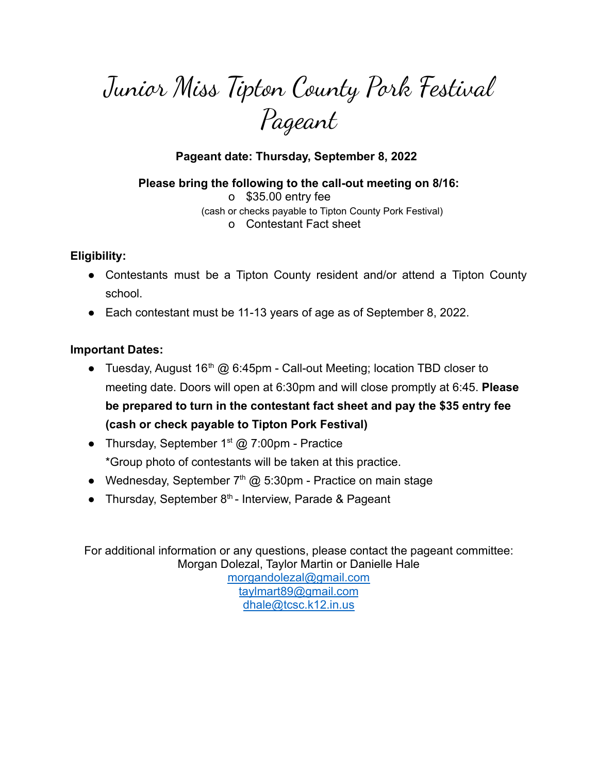# Junior Miss Tipton County Pork Festival Pageant

## **Pageant date: Thursday, September 8, 2022**

**Please bring the following to the call-out meeting on 8/16:** o \$35.00 entry fee (cash or checks payable to Tipton County Pork Festival) o Contestant Fact sheet

#### **Eligibility:**

- Contestants must be a Tipton County resident and/or attend a Tipton County school.
- Each contestant must be 11-13 years of age as of September 8, 2022.

## **Important Dates:**

- Tuesday, August  $16<sup>th</sup>$  @ 6:45pm Call-out Meeting; location TBD closer to meeting date. Doors will open at 6:30pm and will close promptly at 6:45. **Please be prepared to turn in the contestant fact sheet and pay the \$35 entry fee (cash or check payable to Tipton Pork Festival)**
- Thursday, September  $1<sup>st</sup>$  @ 7:00pm Practice \*Group photo of contestants will be taken at this practice.
- Wednesday, September  $7<sup>th</sup>$  @ 5:30pm Practice on main stage
- Thursday, September  $8<sup>th</sup>$  Interview, Parade & Pageant

For additional information or any questions, please contact the pageant committee: Morgan Dolezal, Taylor Martin or Danielle Hale [morgandolezal@gmail.com](mailto:morgandolezal@gmail.com) [taylmart89@gmail.com](mailto:taylmart89@gmail.com) [dhale@tcsc.k12.in.us](mailto:dhale@tcsc.k12.in.us)